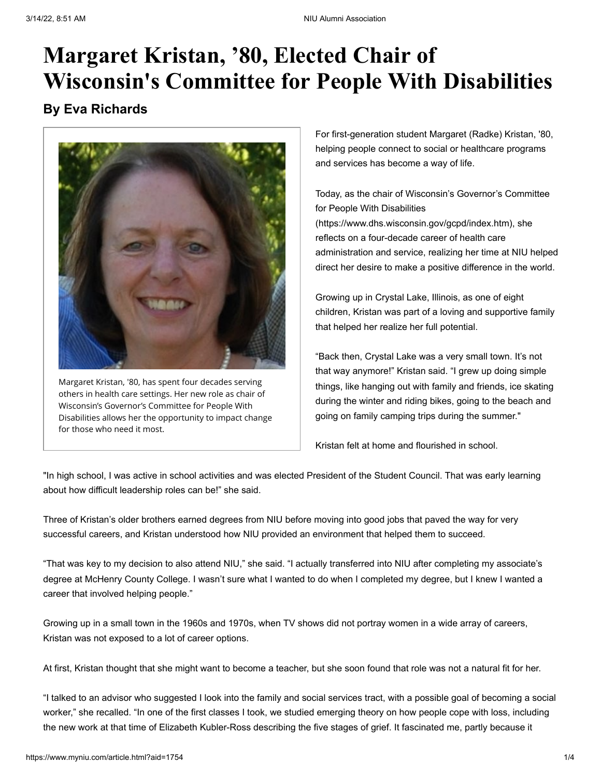# **Margaret Kristan, '80, Elected Chair of Wisconsin's Committee for People With Disabilities**

### **By Eva Richards**



Margaret Kristan, '80, has spent four decades serving others in health care settings. Her new role as chair of Wisconsin's Governor's Committee for People With Disabilities allows her the opportunity to impact change for those who need it most.

For first-generation student Margaret (Radke) Kristan, '80, helping people connect to social or healthcare programs and services has become a way of life.

Today, as the chair of Wisconsin's Governor's Committee for People With Disabilities

[\(https://www.dhs.wisconsin.gov/gcpd/index.htm\),](https://www.dhs.wisconsin.gov/gcpd/index.htm) she reflects on a four-decade career of health care administration and service, realizing her time at NIU helped direct her desire to make a positive difference in the world.

Growing up in Crystal Lake, Illinois, as one of eight children, Kristan was part of a loving and supportive family that helped her realize her full potential.

"Back then, Crystal Lake was a very small town. It's not that way anymore!" Kristan said. "I grew up doing simple things, like hanging out with family and friends, ice skating during the winter and riding bikes, going to the beach and going on family camping trips during the summer."

Kristan felt at home and flourished in school.

"In high school, I was active in school activities and was elected President of the Student Council. That was early learning about how difficult leadership roles can be!" she said.

Three of Kristan's older brothers earned degrees from NIU before moving into good jobs that paved the way for very successful careers, and Kristan understood how NIU provided an environment that helped them to succeed.

"That was key to my decision to also attend NIU," she said. "I actually transferred into NIU after completing my associate's degree at McHenry County College. I wasn't sure what I wanted to do when I completed my degree, but I knew I wanted a career that involved helping people."

Growing up in a small town in the 1960s and 1970s, when TV shows did not portray women in a wide array of careers, Kristan was not exposed to a lot of career options.

At first, Kristan thought that she might want to become a teacher, but she soon found that role was not a natural fit for her.

"I talked to an advisor who suggested I look into the family and social services tract, with a possible goal of becoming a social worker," she recalled. "In one of the first classes I took, we studied emerging theory on how people cope with loss, including the new work at that time of Elizabeth Kubler-Ross describing the five stages of grief. It fascinated me, partly because it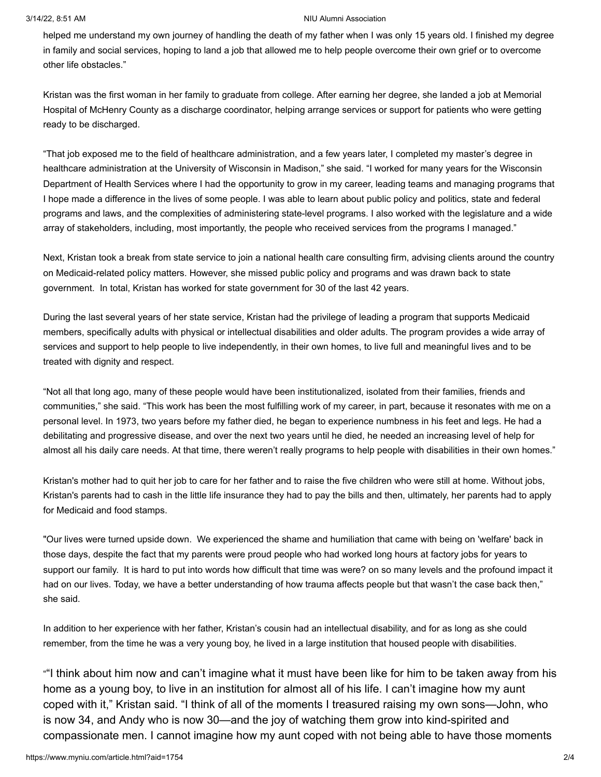### 3/14/22, 8:51 AM NIU Alumni Association

helped me understand my own journey of handling the death of my father when I was only 15 years old. I finished my degree in family and social services, hoping to land a job that allowed me to help people overcome their own grief or to overcome other life obstacles."

Kristan was the first woman in her family to graduate from college. After earning her degree, she landed a job at Memorial Hospital of McHenry County as a discharge coordinator, helping arrange services or support for patients who were getting ready to be discharged.

"That job exposed me to the field of healthcare administration, and a few years later, I completed my master's degree in healthcare administration at the University of Wisconsin in Madison," she said. "I worked for many years for the Wisconsin Department of Health Services where I had the opportunity to grow in my career, leading teams and managing programs that I hope made a difference in the lives of some people. I was able to learn about public policy and politics, state and federal programs and laws, and the complexities of administering state-level programs. I also worked with the legislature and a wide array of stakeholders, including, most importantly, the people who received services from the programs I managed."

Next, Kristan took a break from state service to join a national health care consulting firm, advising clients around the country on Medicaid-related policy matters. However, she missed public policy and programs and was drawn back to state government. In total, Kristan has worked for state government for 30 of the last 42 years.

During the last several years of her state service, Kristan had the privilege of leading a program that supports Medicaid members, specifically adults with physical or intellectual disabilities and older adults. The program provides a wide array of services and support to help people to live independently, in their own homes, to live full and meaningful lives and to be treated with dignity and respect.

"Not all that long ago, many of these people would have been institutionalized, isolated from their families, friends and communities," she said. "This work has been the most fulfilling work of my career, in part, because it resonates with me on a personal level. In 1973, two years before my father died, he began to experience numbness in his feet and legs. He had a debilitating and progressive disease, and over the next two years until he died, he needed an increasing level of help for almost all his daily care needs. At that time, there weren't really programs to help people with disabilities in their own homes."

Kristan's mother had to quit her job to care for her father and to raise the five children who were still at home. Without jobs, Kristan's parents had to cash in the little life insurance they had to pay the bills and then, ultimately, her parents had to apply for Medicaid and food stamps.

"Our lives were turned upside down. We experienced the shame and humiliation that came with being on 'welfare' back in those days, despite the fact that my parents were proud people who had worked long hours at factory jobs for years to support our family. It is hard to put into words how difficult that time was were? on so many levels and the profound impact it had on our lives. Today, we have a better understanding of how trauma affects people but that wasn't the case back then," she said.

In addition to her experience with her father, Kristan's cousin had an intellectual disability, and for as long as she could remember, from the time he was a very young boy, he lived in a large institution that housed people with disabilities.

""I think about him now and can't imagine what it must have been like for him to be taken away from his home as a young boy, to live in an institution for almost all of his life. I can't imagine how my aunt coped with it," Kristan said. "I think of all of the moments I treasured raising my own sons—John, who is now 34, and Andy who is now 30—and the joy of watching them grow into kind-spirited and compassionate men. I cannot imagine how my aunt coped with not being able to have those moments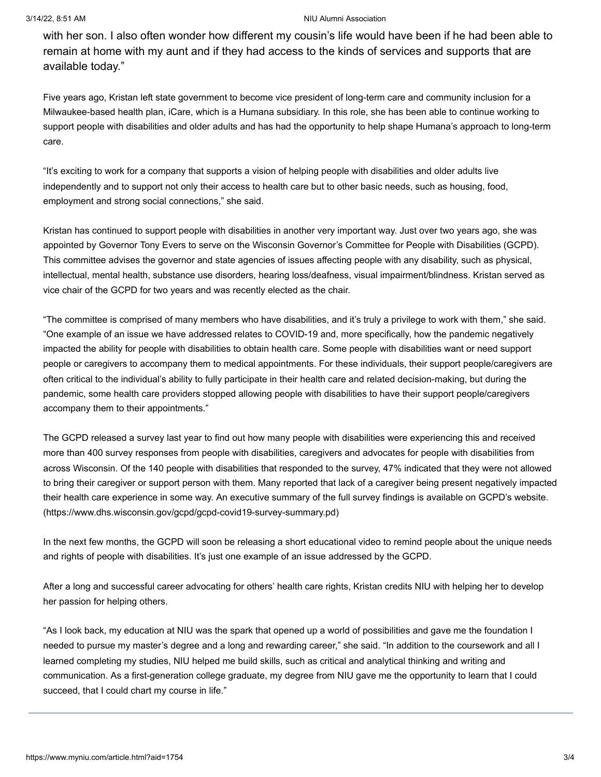#### 3/14/22, 8:51 AM NIU Alumni Association

with her son. I also often wonder how different my cousin's life would have been if he had been able to remain at home with my aunt and if they had access to the kinds of services and supports that are available today."

Five years ago, Kristan left state government to become vice president of long-term care and community inclusion for a Milwaukee-based health plan, iCare, which is a Humana subsidiary. In this role, she has been able to continue working to support people with disabilities and older adults and has had the opportunity to help shape Humana's approach to long-term care.

"It's exciting to work for a company that supports a vision of helping people with disabilities and older adults live independently and to support not only their access to health care but to other basic needs, such as housing, food, employment and strong social connections," she said.

Kristan has continued to support people with disabilities in another very important way. Just over two years ago, she was appointed by Governor Tony Evers to serve on the Wisconsin Governor's Committee for People with Disabilities (GCPD). This committee advises the governor and state agencies of issues affecting people with any disability, such as physical, intellectual, mental health, substance use disorders, hearing loss/deafness, visual impairment/blindness. Kristan served as vice chair of the GCPD for two years and was recently elected as the chair.

"The committee is comprised of many members who have disabilities, and it's truly a privilege to work with them," she said. "One example of an issue we have addressed relates to COVID-19 and, more specifically, how the pandemic negatively impacted the ability for people with disabilities to obtain health care. Some people with disabilities want or need support people or caregivers to accompany them to medical appointments. For these individuals, their support people/caregivers are often critical to the individual's ability to fully participate in their health care and related decision-making, but during the pandemic, some health care providers stopped allowing people with disabilities to have their support people/caregivers accompany them to their appointments."

The GCPD released a survey last year to find out how many people with disabilities were experiencing this and received more than 400 survey responses from people with disabilities, caregivers and advocates for people with disabilities from across Wisconsin. Of the 140 people with disabilities that responded to the survey, 47% indicated that they were not allowed to bring their caregiver or support person with them. Many reported that lack of a caregiver being present negatively impacted their health care experience in some way. An executive summary of the full survey findings is available on GCPD's website. [\(https://www.dhs.wisconsin.gov/gcpd/gcpd-covid19-survey-summary.pd\)](https://www.dhs.wisconsin.gov/gcpd/gcpd-covid19-survey-summary.pd)

In the next few months, the GCPD will soon be releasing a short educational video to remind people about the unique needs and rights of people with disabilities. It's just one example of an issue addressed by the GCPD.

After a long and successful career advocating for others' health care rights, Kristan credits NIU with helping her to develop her passion for helping others.

"As I look back, my education at NIU was the spark that opened up a world of possibilities and gave me the foundation I needed to pursue my master's degree and a long and rewarding career," she said. "In addition to the coursework and all I learned completing my studies, NIU helped me build skills, such as critical and analytical thinking and writing and communication. As a first-generation college graduate, my degree from NIU gave me the opportunity to learn that I could succeed, that I could chart my course in life."